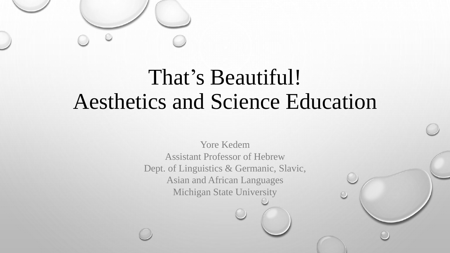

### That's Beautiful! Aesthetics and Science Education

Yore Kedem Assistant Professor of Hebrew Dept. of Linguistics & Germanic, Slavic, Asian and African Languages Michigan State University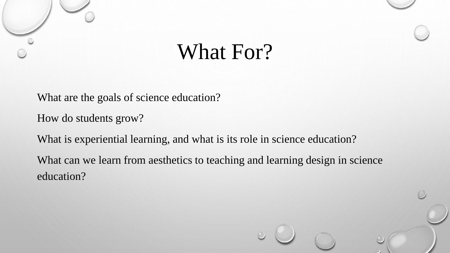#### What For?

What are the goals of science education?

How do students grow?

What is experiential learning, and what is its role in science education?

What can we learn from aesthetics to teaching and learning design in science education?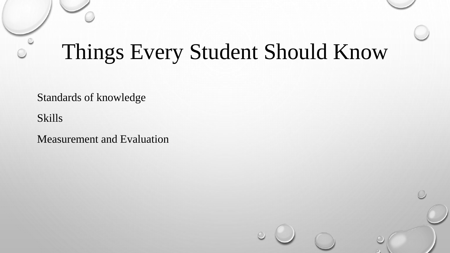## Things Every Student Should Know

Standards of knowledge

Skills

Measurement and Evaluation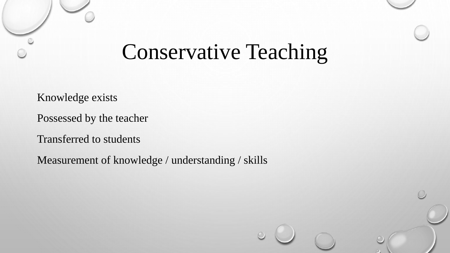#### Conservative Teaching

Knowledge exists

Possessed by the teacher

Transferred to students

Measurement of knowledge / understanding / skills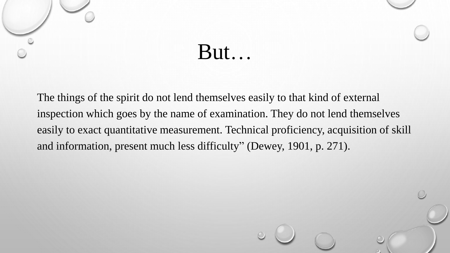

#### But…

The things of the spirit do not lend themselves easily to that kind of external inspection which goes by the name of examination. They do not lend themselves easily to exact quantitative measurement. Technical proficiency, acquisition of skill and information, present much less difficulty" (Dewey, 1901, p. 271).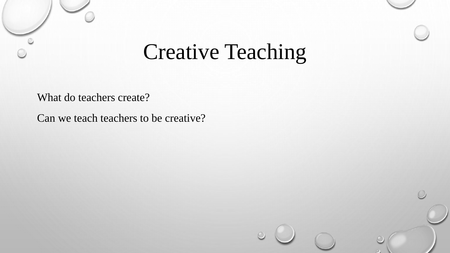#### Creative Teaching

What do teachers create?

Can we teach teachers to be creative?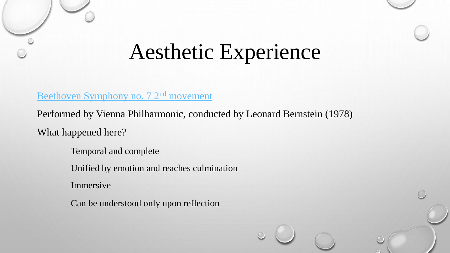#### Aesthetic Experience

[Beethoven Symphony no. 7 2](https://www.youtube.com/watch?v=J12zprD7V1k)<sup>nd</sup> movement

Performed by Vienna Philharmonic, conducted by Leonard Bernstein (1978)

What happened here?

Temporal and complete

Unified by emotion and reaches culmination

Immersive

Can be understood only upon reflection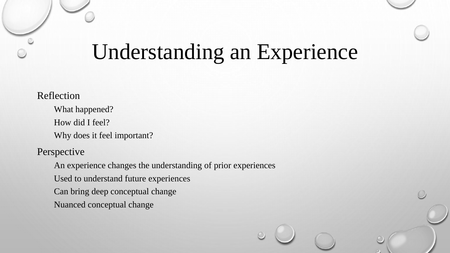### Understanding an Experience

#### Reflection

What happened?

How did I feel?

Why does it feel important?

Perspective

An experience changes the understanding of prior experiences Used to understand future experiences Can bring deep conceptual change Nuanced conceptual change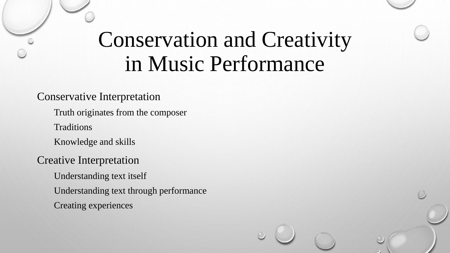### Conservation and Creativity in Music Performance

#### Conservative Interpretation

- Truth originates from the composer
- **Traditions**
- Knowledge and skills

#### Creative Interpretation

- Understanding text itself
- Understanding text through performance
- Creating experiences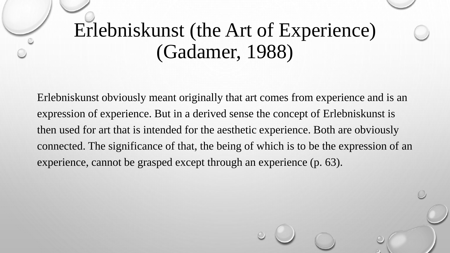#### Erlebniskunst (the Art of Experience) (Gadamer, 1988)

Erlebniskunst obviously meant originally that art comes from experience and is an expression of experience. But in a derived sense the concept of Erlebniskunst is then used for art that is intended for the aesthetic experience. Both are obviously connected. The significance of that, the being of which is to be the expression of an experience, cannot be grasped except through an experience (p. 63).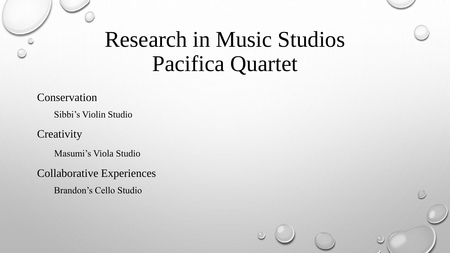### Research in Music Studios Pacifica Quartet

Conservation

Sibbi's Violin Studio

**Creativity** 

Masumi's Viola Studio

Collaborative Experiences Brandon's Cello Studio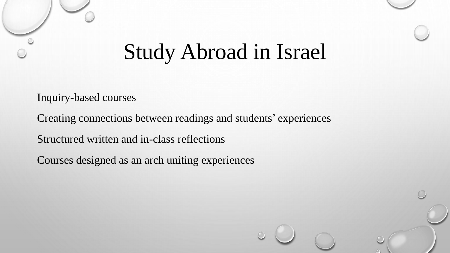#### Study Abroad in Israel

Inquiry-based courses

Creating connections between readings and students' experiences

Structured written and in-class reflections

Courses designed as an arch uniting experiences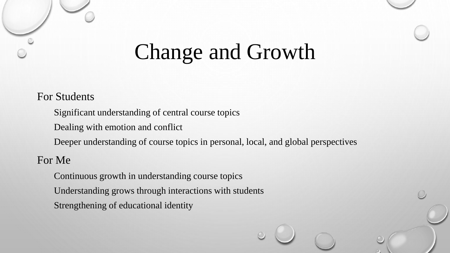## Change and Growth

For Students

Significant understanding of central course topics

Dealing with emotion and conflict

Deeper understanding of course topics in personal, local, and global perspectives

For Me

Continuous growth in understanding course topics Understanding grows through interactions with students Strengthening of educational identity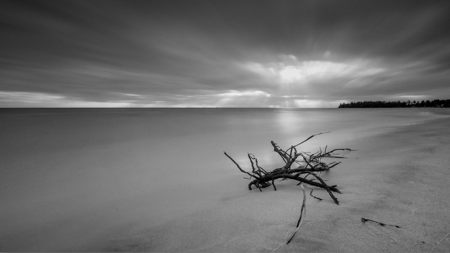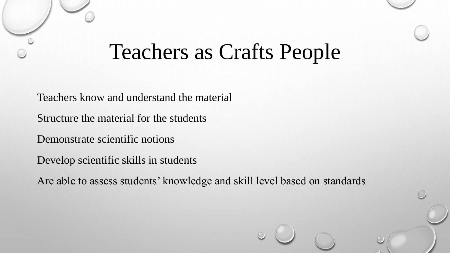#### Teachers as Crafts People

Teachers know and understand the material

Structure the material for the students

Demonstrate scientific notions

Develop scientific skills in students

Are able to assess students' knowledge and skill level based on standards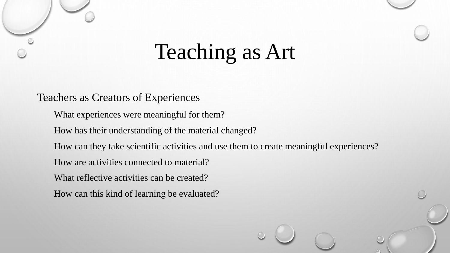### Teaching as Art

Teachers as Creators of Experiences

What experiences were meaningful for them? How has their understanding of the material changed?

How can they take scientific activities and use them to create meaningful experiences?

How are activities connected to material?

What reflective activities can be created?

How can this kind of learning be evaluated?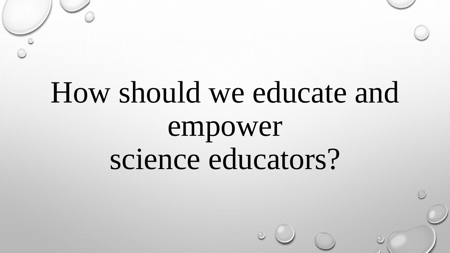# How should we educate and empower science educators?